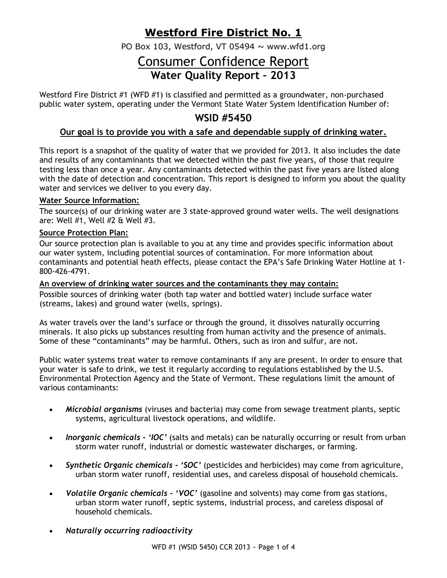## **Westford Fire District No. 1**

PO Box 103, Westford, VT 05494  $\sim$  www.wfd1.org

# Consumer Confidence Report **Water Quality Report – 2013**

Westford Fire District #1 (WFD #1) is classified and permitted as a groundwater, non-purchased public water system, operating under the Vermont State Water System Identification Number of:

## **WSID #5450**

## **Our goal is to provide you with a safe and dependable supply of drinking water.**

This report is a snapshot of the quality of water that we provided for 2013. It also includes the date and results of any contaminants that we detected within the past five years, of those that require testing less than once a year. Any contaminants detected within the past five years are listed along with the date of detection and concentration. This report is designed to inform you about the quality water and services we deliver to you every day.

### **Water Source Information:**

The source(s) of our drinking water are 3 state-approved ground water wells. The well designations are: Well #1, Well #2 & Well #3.

#### **Source Protection Plan:**

Our source protection plan is available to you at any time and provides specific information about our water system, including potential sources of contamination. For more information about contaminants and potential heath effects, please contact the EPA's Safe Drinking Water Hotline at 1- 800-426-4791.

#### **An overview of drinking water sources and the contaminants they may contain:**

Possible sources of drinking water (both tap water and bottled water) include surface water (streams, lakes) and ground water (wells, springs).

As water travels over the land's surface or through the ground, it dissolves naturally occurring minerals. It also picks up substances resulting from human activity and the presence of animals. Some of these "contaminants" may be harmful. Others, such as iron and sulfur, are not.

Public water systems treat water to remove contaminants if any are present. In order to ensure that your water is safe to drink, we test it regularly according to regulations established by the U.S. Environmental Protection Agency and the State of Vermont. These regulations limit the amount of various contaminants:

- *Microbial organisms* (viruses and bacteria) may come from sewage treatment plants, septic systems, agricultural livestock operations, and wildlife.
- *Inorganic chemicals - 'IOC'* (salts and metals) can be naturally occurring or result from urban storm water runoff, industrial or domestic wastewater discharges, or farming.
- *Synthetic Organic chemicals - 'SOC'* (pesticides and herbicides) may come from agriculture, urban storm water runoff, residential uses, and careless disposal of household chemicals.
- *Volatile Organic chemicals – 'VOC'* (gasoline and solvents) may come from gas stations, urban storm water runoff, septic systems, industrial process, and careless disposal of household chemicals.
- *Naturally occurring radioactivity*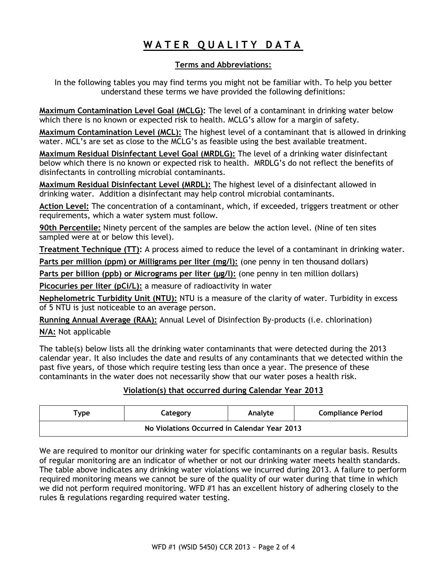## **W A T E R Q U A L I T Y D A T A**

## **Terms and Abbreviations:**

In the following tables you may find terms you might not be familiar with. To help you better understand these terms we have provided the following definitions:

**Maximum Contamination Level Goal (MCLG):** The level of a contaminant in drinking water below which there is no known or expected risk to health. MCLG's allow for a margin of safety.

**Maximum Contamination Level (MCL):** The highest level of a contaminant that is allowed in drinking water. MCL's are set as close to the MCLG's as feasible using the best available treatment.

**Maximum Residual Disinfectant Level Goal (MRDLG):** The level of a drinking water disinfectant below which there is no known or expected risk to health. MRDLG's do not reflect the benefits of disinfectants in controlling microbial contaminants.

**Maximum Residual Disinfectant Level (MRDL):** The highest level of a disinfectant allowed in drinking water. Addition a disinfectant may help control microbial contaminants.

**Action Level:** The concentration of a contaminant, which, if exceeded, triggers treatment or other requirements, which a water system must follow.

**90th Percentile:** Ninety percent of the samples are below the action level. (Nine of ten sites sampled were at or below this level).

**Treatment Technique (TT):** A process aimed to reduce the level of a contaminant in drinking water.

**Parts per million (ppm) or Milligrams per liter (mg/l):** (one penny in ten thousand dollars)

**Parts per billion (ppb) or Micrograms per liter (µg/l):** (one penny in ten million dollars)

**Picocuries per liter (pCi/L):** a measure of radioactivity in water

**Nephelometric Turbidity Unit (NTU):** NTU is a measure of the clarity of water. Turbidity in excess of 5 NTU is just noticeable to an average person.

**Running Annual Average (RAA):** Annual Level of Disinfection By-products (i.e. chlorination)

**N/A:** Not applicable

The table(s) below lists all the drinking water contaminants that were detected during the 2013 calendar year. It also includes the date and results of any contaminants that we detected within the past five years, of those which require testing less than once a year. The presence of these contaminants in the water does not necessarily show that our water poses a health risk.

## **Violation(s) that occurred during Calendar Year 2013**

| $^{\mathsf{T}}$ vpe                          | Category | Analyte | <b>Compliance Period</b> |  |  |  |  |  |
|----------------------------------------------|----------|---------|--------------------------|--|--|--|--|--|
| No Violations Occurred in Calendar Year 2013 |          |         |                          |  |  |  |  |  |

We are required to monitor our drinking water for specific contaminants on a regular basis. Results of regular monitoring are an indicator of whether or not our drinking water meets health standards. The table above indicates any drinking water violations we incurred during 2013. A failure to perform required monitoring means we cannot be sure of the quality of our water during that time in which we did not perform required monitoring. WFD #1 has an excellent history of adhering closely to the rules & regulations regarding required water testing.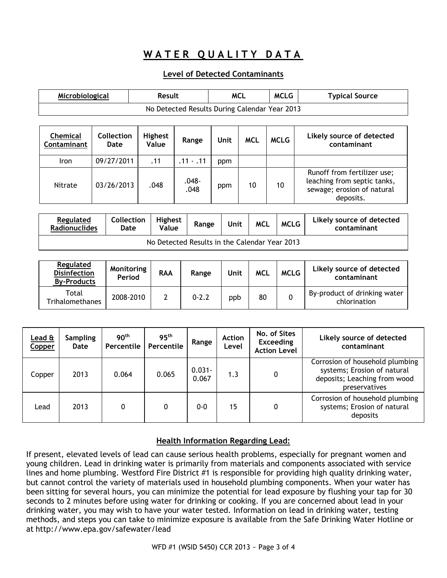## WATER QUALITY DATA

### **Level of Detected Contaminants**

| Microbiological                               |                    | Result                  |               | <b>MCL</b> |            | <b>MCLG</b> | <b>Typical Source</b>                                                                                 |  |  |  |
|-----------------------------------------------|--------------------|-------------------------|---------------|------------|------------|-------------|-------------------------------------------------------------------------------------------------------|--|--|--|
| No Detected Results During Calendar Year 2013 |                    |                         |               |            |            |             |                                                                                                       |  |  |  |
|                                               |                    |                         |               |            |            |             |                                                                                                       |  |  |  |
| <b>Chemical</b><br>Contaminant                | Collection<br>Date | <b>Highest</b><br>Value | Range         | Unit       | <b>MCL</b> | <b>MCLG</b> | Likely source of detected<br>contaminant                                                              |  |  |  |
| Iron                                          | 09/27/2011         | .11                     | $.11 - .11$   | ppm        |            |             |                                                                                                       |  |  |  |
| Nitrate                                       | 03/26/2013         | .048                    | -048.<br>.048 | ppm        | 10         | 10          | Runoff from fertilizer use;<br>leaching from septic tanks,<br>sewage; erosion of natural<br>deposits. |  |  |  |

| <b>Regulated</b><br><b>Radionuclides</b>      | <b>Collection</b><br>Date | Highest<br>Value | Range | Unit | <b>MCL</b> | <b>MCLG</b> | Likely source of detected<br>contaminant |  |
|-----------------------------------------------|---------------------------|------------------|-------|------|------------|-------------|------------------------------------------|--|
| No Detected Results in the Calendar Year 2013 |                           |                  |       |      |            |             |                                          |  |

| Regulated<br><b>Disinfection</b><br><b>By-Products</b> | Monitoring<br>Period | <b>RAA</b> | Range     | Unit | <b>MCL</b> | <b>MCLG</b> | Likely source of detected<br>contaminant     |
|--------------------------------------------------------|----------------------|------------|-----------|------|------------|-------------|----------------------------------------------|
| Total<br>Trihalomethanes                               | 2008-2010            |            | $0 - 2.2$ | ppb  | 80         |             | By-product of drinking water<br>chlorination |

| Lead &<br>Copper | <b>Sampling</b><br>Date | 90 <sup>th</sup><br>Percentile | 95 <sup>th</sup><br>Percentile | Range              | <b>Action</b><br>Level | No. of Sites<br><b>Exceeding</b><br><b>Action Level</b> | Likely source of detected<br>contaminant                                                                        |
|------------------|-------------------------|--------------------------------|--------------------------------|--------------------|------------------------|---------------------------------------------------------|-----------------------------------------------------------------------------------------------------------------|
| Copper           | 2013                    | 0.064                          | 0.065                          | $0.031 -$<br>0.067 | 1.3                    |                                                         | Corrosion of household plumbing<br>systems; Erosion of natural<br>deposits; Leaching from wood<br>preservatives |
| Lead             | 2013                    | 0                              | 0                              | $0 - 0$            | 15                     |                                                         | Corrosion of household plumbing<br>systems; Erosion of natural<br>deposits                                      |

### **Health Information Regarding Lead:**

If present, elevated levels of lead can cause serious health problems, especially for pregnant women and young children. Lead in drinking water is primarily from materials and components associated with service lines and home plumbing. Westford Fire District #1 is responsible for providing high quality drinking water, but cannot control the variety of materials used in household plumbing components. When your water has been sitting for several hours, you can minimize the potential for lead exposure by flushing your tap for 30 seconds to 2 minutes before using water for drinking or cooking. If you are concerned about lead in your drinking water, you may wish to have your water tested. Information on lead in drinking water, testing methods, and steps you can take to minimize exposure is available from the Safe Drinking Water Hotline or at <http://www.epa.gov/safewater/lead>